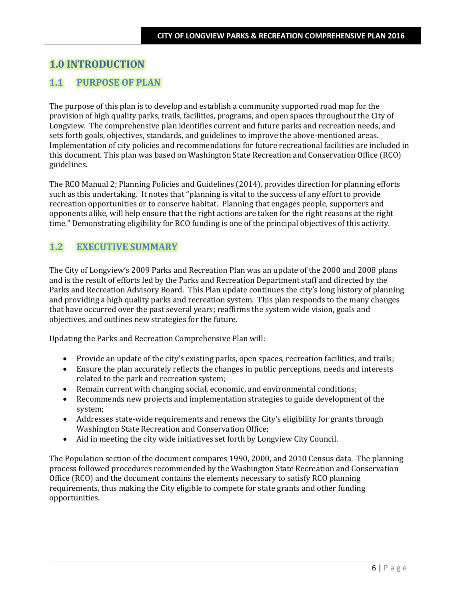# **1.0 INTRODUCTION**

## **1.1 PURPOSE OF PLAN**

The purpose of this plan is to develop and establish a community supported road map for the provision of high quality parks, trails, facilities, programs, and open spaces throughout the City of Longview. The comprehensive plan identifies current and future parks and recreation needs, and sets forth goals, objectives, standards, and guidelines to improve the above-mentioned areas. Implementation of city policies and recommendations for future recreational facilities are included in this document. This plan was based on Washington State Recreation and Conservation Office (RCO) guidelines.

The RCO Manual 2; Planning Policies and Guidelines (2014), provides direction for planning efforts such as this undertaking. It notes that "planning is vital to the success of any effort to provide recreation opportunities or to conserve habitat. Planning that engages people, supporters and opponents alike, will help ensure that the right actions are taken for the right reasons at the right time." Demonstrating eligibility for RCO funding is one of the principal objectives of this activity.

## **1.2 EXECUTIVE SUMMARY**

The City of Longview's 2009 Parks and Recreation Plan was an update of the 2000 and 2008 plans and is the result of efforts led by the Parks and Recreation Department staff and directed by the Parks and Recreation Advisory Board. This Plan update continues the city's long history of planning and providing a high quality parks and recreation system. This plan responds to the many changes that have occurred over the past several years; reaffirms the system wide vision, goals and objectives, and outlines new strategies for the future.

Updating the Parks and Recreation Comprehensive Plan will:

- Provide an update of the city's existing parks, open spaces, recreation facilities, and trails;
- Ensure the plan accurately reflects the changes in public perceptions, needs and interests related to the park and recreation system;
- Remain current with changing social, economic, and environmental conditions;
- Recommends new projects and implementation strategies to guide development of the system;
- Addresses state-wide requirements and renews the City's eligibility for grants through Washington State Recreation and Conservation Office;
- Aid in meeting the city wide initiatives set forth by Longview City Council.

The Population section of the document compares 1990, 2000, and 2010 Census data. The planning process followed procedures recommended by the Washington State Recreation and Conservation Office (RCO) and the document contains the elements necessary to satisfy RCO planning requirements, thus making the City eligible to compete for state grants and other funding opportunities.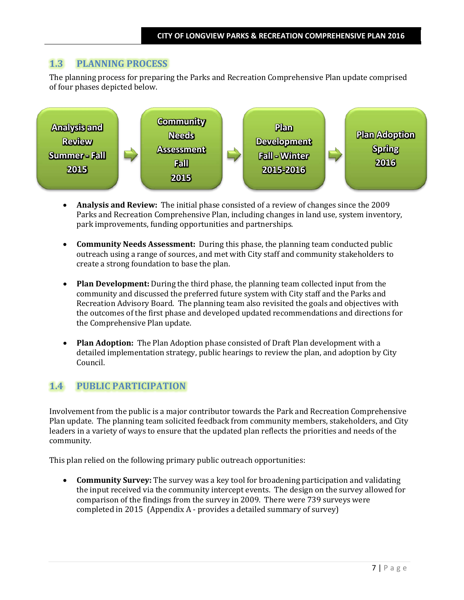### **1.3 PLANNING PROCESS**

The planning process for preparing the Parks and Recreation Comprehensive Plan update comprised of four phases depicted below.



- **Analysis and Review:** The initial phase consisted of a review of changes since the 2009 Parks and Recreation Comprehensive Plan, including changes in land use, system inventory, park improvements, funding opportunities and partnerships.
- **Community Needs Assessment:** During this phase, the planning team conducted public outreach using a range of sources, and met with City staff and community stakeholders to create a strong foundation to base the plan.
- **Plan Development:** During the third phase, the planning team collected input from the community and discussed the preferred future system with City staff and the Parks and Recreation Advisory Board. The planning team also revisited the goals and objectives with the outcomes of the first phase and developed updated recommendations and directions for the Comprehensive Plan update.
- **Plan Adoption:** The Plan Adoption phase consisted of Draft Plan development with a detailed implementation strategy, public hearings to review the plan, and adoption by City Council.

### **1.4 PUBLIC PARTICIPATION**

Involvement from the public is a major contributor towards the Park and Recreation Comprehensive Plan update. The planning team solicited feedback from community members, stakeholders, and City leaders in a variety of ways to ensure that the updated plan reflects the priorities and needs of the community.

This plan relied on the following primary public outreach opportunities:

• **Community Survey:** The survey was a key tool for broadening participation and validating the input received via the community intercept events. The design on the survey allowed for comparison of the findings from the survey in 2009. There were 739 surveys were completed in 2015 (Appendix A - provides a detailed summary of survey)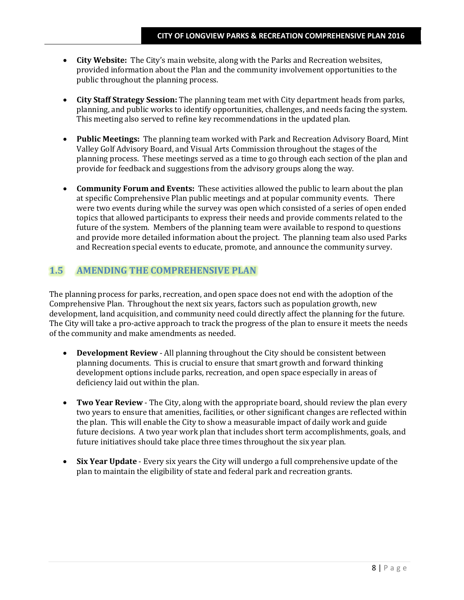- **City Website:** The City's main website, along with the Parks and Recreation websites, provided information about the Plan and the community involvement opportunities to the public throughout the planning process.
- **City Staff Strategy Session:** The planning team met with City department heads from parks, planning, and public works to identify opportunities, challenges, and needs facing the system. This meeting also served to refine key recommendations in the updated plan.
- **Public Meetings:** The planning team worked with Park and Recreation Advisory Board, Mint Valley Golf Advisory Board, and Visual Arts Commission throughout the stages of the planning process. These meetings served as a time to go through each section of the plan and provide for feedback and suggestions from the advisory groups along the way.
- **Community Forum and Events:** These activities allowed the public to learn about the plan at specific Comprehensive Plan public meetings and at popular community events.There were two events during while the survey was open which consisted of a series of open ended topics that allowed participants to express their needs and provide comments related to the future of the system. Members of the planning team were available to respond to questions and provide more detailed information about the project. The planning team also used Parks and Recreation special events to educate, promote, and announce the community survey.

### **1.5 AMENDING THE COMPREHENSIVE PLAN**

The planning process for parks, recreation, and open space does not end with the adoption of the Comprehensive Plan. Throughout the next six years, factors such as population growth, new development, land acquisition, and community need could directly affect the planning for the future. The City will take a pro-active approach to track the progress of the plan to ensure it meets the needs of the community and make amendments as needed.

- **Development Review** All planning throughout the City should be consistent between planning documents. This is crucial to ensure that smart growth and forward thinking development options include parks, recreation, and open space especially in areas of deficiency laid out within the plan.
- **Two Year Review** The City, along with the appropriate board, should review the plan every two years to ensure that amenities, facilities, or other significant changes are reflected within the plan. This will enable the City to show a measurable impact of daily work and guide future decisions. A two year work plan that includes short term accomplishments, goals, and future initiatives should take place three times throughout the six year plan.
- **Six Year Update** Every six years the City will undergo a full comprehensive update of the plan to maintain the eligibility of state and federal park and recreation grants.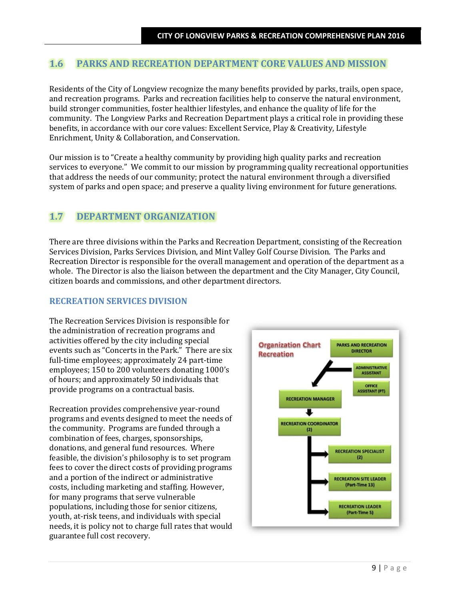## **1.6 PARKS AND RECREATION DEPARTMENT CORE VALUES AND MISSION**

Residents of the City of Longview recognize the many benefits provided by parks, trails, open space, and recreation programs. Parks and recreation facilities help to conserve the natural environment, build stronger communities, foster healthier lifestyles, and enhance the quality of life for the community. The Longview Parks and Recreation Department plays a critical role in providing these benefits, in accordance with our core values: Excellent Service, Play & Creativity, Lifestyle Enrichment, Unity & Collaboration, and Conservation.

Our mission is to "Create a healthy community by providing high quality parks and recreation services to everyone." We commit to our mission by programming quality recreational opportunities that address the needs of our community; protect the natural environment through a diversified system of parks and open space; and preserve a quality living environment for future generations.

### **1.7 DEPARTMENT ORGANIZATION**

There are three divisions within the Parks and Recreation Department, consisting of the Recreation Services Division, Parks Services Division, and Mint Valley Golf Course Division. The Parks and Recreation Director is responsible for the overall management and operation of the department as a whole. The Director is also the liaison between the department and the City Manager, City Council, citizen boards and commissions, and other department directors.

#### **RECREATION SERVICES DIVISION**

The Recreation Services Division is responsible for the administration of recreation programs and activities offered by the city including special events such as "Concerts in the Park." There are six full-time employees; approximately 24 part-time employees; 150 to 200 volunteers donating 1000's of hours; and approximately 50 individuals that provide programs on a contractual basis.

Recreation provides comprehensive year-round programs and events designed to meet the needs of the community. Programs are funded through a combination of fees, charges, sponsorships, donations, and general fund resources. Where feasible, the division's philosophy is to set program fees to cover the direct costs of providing programs and a portion of the indirect or administrative costs, including marketing and staffing. However, for many programs that serve vulnerable populations, including those for senior citizens, youth, at-risk teens, and individuals with special needs, it is policy not to charge full rates that would guarantee full cost recovery.

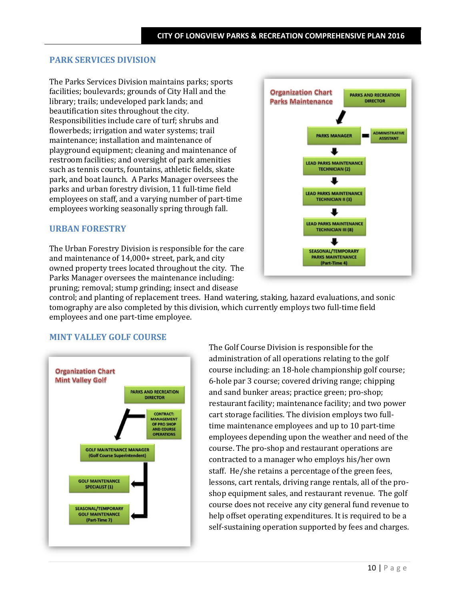#### **PARK SERVICES DIVISION**

The Parks Services Division maintains parks; sports facilities; boulevards; grounds of City Hall and the library; trails; undeveloped park lands; and beautification sites throughout the city. Responsibilities include care of turf; shrubs and flowerbeds; irrigation and water systems; trail maintenance; installation and maintenance of playground equipment; cleaning and maintenance of restroom facilities; and oversight of park amenities such as tennis courts, fountains, athletic fields, skate park, and boat launch. A Parks Manager oversees the parks and urban forestry division, 11 full-time field employees on staff, and a varying number of part-time employees working seasonally spring through fall.

#### **URBAN FORESTRY**

The Urban Forestry Division is responsible for the care and maintenance of 14,000+ street, park, and city owned property trees located throughout the city. The Parks Manager oversees the maintenance including: pruning; removal; stump grinding; insect and disease



control; and planting of replacement trees. Hand watering, staking, hazard evaluations, and sonic tomography are also completed by this division, which currently employs two full-time field employees and one part-time employee.

#### **MINT VALLEY GOLF COURSE**



The Golf Course Division is responsible for the administration of all operations relating to the golf course including: an 18-hole championship golf course; 6-hole par 3 course; covered driving range; chipping and sand bunker areas; practice green; pro-shop; restaurant facility; maintenance facility; and two power cart storage facilities. The division employs two fulltime maintenance employees and up to 10 part-time employees depending upon the weather and need of the course. The pro-shop and restaurant operations are contracted to a manager who employs his/her own staff. He/she retains a percentage of the green fees, lessons, cart rentals, driving range rentals, all of the proshop equipment sales, and restaurant revenue. The golf course does not receive any city general fund revenue to help offset operating expenditures. It is required to be a self-sustaining operation supported by fees and charges.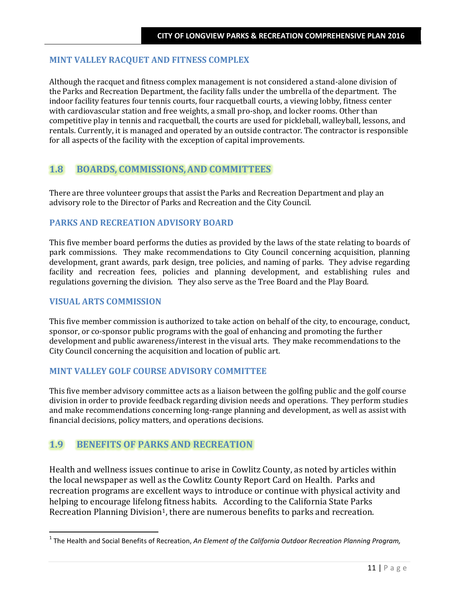#### **MINT VALLEY RACQUET AND FITNESS COMPLEX**

Although the racquet and fitness complex management is not considered a stand-alone division of the Parks and Recreation Department, the facility falls under the umbrella of the department. The indoor facility features four tennis courts, four racquetball courts, a viewing lobby, fitness center with cardiovascular station and free weights, a small pro-shop, and locker rooms. Other than competitive play in tennis and racquetball, the courts are used for pickleball, walleyball, lessons, and rentals. Currently, it is managed and operated by an outside contractor. The contractor is responsible for all aspects of the facility with the exception of capital improvements.

### **1.8 BOARDS, COMMISSIONS,AND COMMITTEES**

There are three volunteer groups that assist the Parks and Recreation Department and play an advisory role to the Director of Parks and Recreation and the City Council.

#### **PARKS AND RECREATION ADVISORY BOARD**

This five member board performs the duties as provided by the laws of the state relating to boards of park commissions. They make recommendations to City Council concerning acquisition, planning development, grant awards, park design, tree policies, and naming of parks. They advise regarding facility and recreation fees, policies and planning development, and establishing rules and regulations governing the division. They also serve as the Tree Board and the Play Board.

#### **VISUAL ARTS COMMISSION**

This five member commission is authorized to take action on behalf of the city, to encourage, conduct, sponsor, or co-sponsor public programs with the goal of enhancing and promoting the further development and public awareness/interest in the visual arts. They make recommendations to the City Council concerning the acquisition and location of public art.

#### **MINT VALLEY GOLF COURSE ADVISORY COMMITTEE**

This five member advisory committee acts as a liaison between the golfing public and the golf course division in order to provide feedback regarding division needs and operations. They perform studies and make recommendations concerning long-range planning and development, as well as assist with financial decisions, policy matters, and operations decisions.

### **1.9 BENEFITS OF PARKS AND RECREATION**

Health and wellness issues continue to arise in Cowlitz County, as noted by articles within the local newspaper as well as the Cowlitz County Report Card on Health. Parks and recreation programs are excellent ways to introduce or continue with physical activity and helping to encourage lifelong fitness habits. According to the California State Parks Recreation Planning Division<sup>1</sup>, there are numerous benefits to parks and recreation.

<span id="page-5-0"></span> <sup>1</sup> The Health and Social Benefits of Recreation, *An Element of the California Outdoor Recreation Planning Program,*